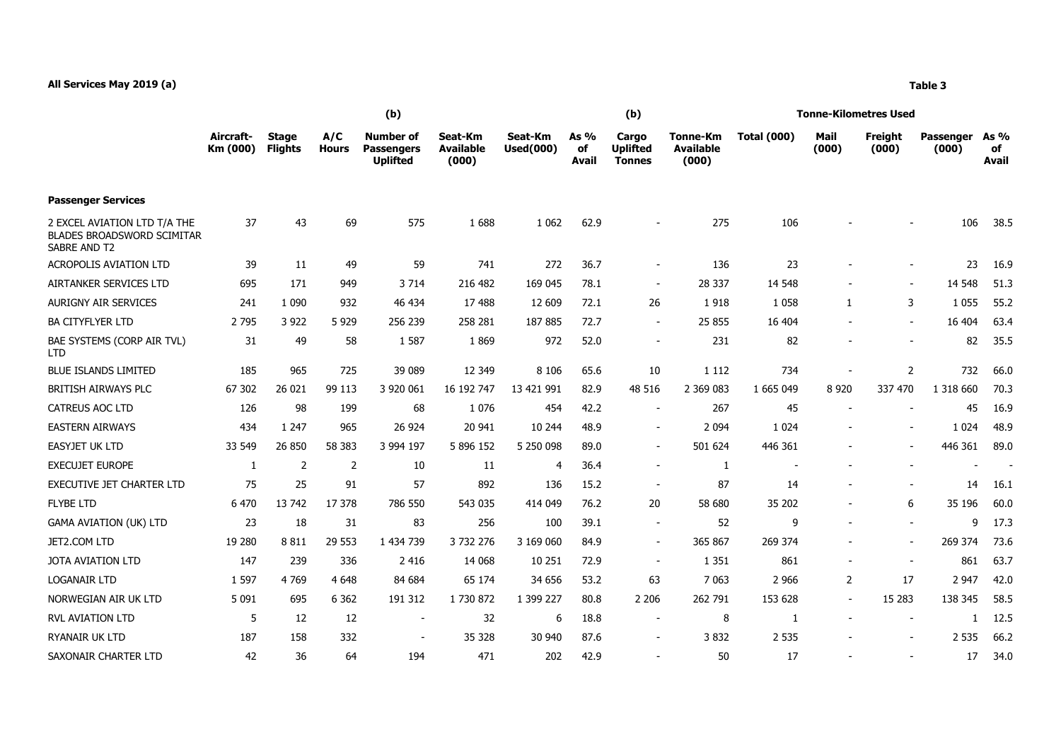|                                                                                   | (b)                   |                                |                     |                                                          |                                      |                             |                       | (b)                                       |                                       | <b>Tonne-Kilometres Used</b> |                          |                  |                    |                     |  |
|-----------------------------------------------------------------------------------|-----------------------|--------------------------------|---------------------|----------------------------------------------------------|--------------------------------------|-----------------------------|-----------------------|-------------------------------------------|---------------------------------------|------------------------------|--------------------------|------------------|--------------------|---------------------|--|
|                                                                                   | Aircraft-<br>Km (000) | <b>Stage</b><br><b>Flights</b> | A/C<br><b>Hours</b> | <b>Number of</b><br><b>Passengers</b><br><b>Uplifted</b> | Seat-Km<br><b>Available</b><br>(000) | Seat-Km<br><b>Used(000)</b> | As $%$<br>of<br>Avail | Cargo<br><b>Uplifted</b><br><b>Tonnes</b> | Tonne-Km<br><b>Available</b><br>(000) | <b>Total (000)</b>           | Mail<br>(000)            | Freight<br>(000) | Passenger<br>(000) | As %<br>of<br>Avail |  |
| <b>Passenger Services</b>                                                         |                       |                                |                     |                                                          |                                      |                             |                       |                                           |                                       |                              |                          |                  |                    |                     |  |
| 2 EXCEL AVIATION LTD T/A THE<br><b>BLADES BROADSWORD SCIMITAR</b><br>SABRE AND T2 | 37                    | 43                             | 69                  | 575                                                      | 1688                                 | 1 0 6 2                     | 62.9                  |                                           | 275                                   | 106                          |                          |                  | 106                | 38.5                |  |
| <b>ACROPOLIS AVIATION LTD</b>                                                     | 39                    | 11                             | 49                  | 59                                                       | 741                                  | 272                         | 36.7                  | $\blacksquare$                            | 136                                   | 23                           |                          |                  | 23                 | 16.9                |  |
| AIRTANKER SERVICES LTD                                                            | 695                   | 171                            | 949                 | 3 7 1 4                                                  | 216 482                              | 169 045                     | 78.1                  |                                           | 28 337                                | 14 5 48                      |                          |                  | 14 5 48            | 51.3                |  |
| AURIGNY AIR SERVICES                                                              | 241                   | 1 0 9 0                        | 932                 | 46 434                                                   | 17 488                               | 12 609                      | 72.1                  | 26                                        | 1918                                  | 1 0 5 8                      | $\mathbf{1}$             | 3                | 1 0 5 5            | 55.2                |  |
| <b>BA CITYFLYER LTD</b>                                                           | 2 7 9 5               | 3 9 2 2                        | 5 9 2 9             | 256 239                                                  | 258 281                              | 187885                      | 72.7                  | $\sim$                                    | 25 855                                | 16 404                       | $\overline{\phantom{a}}$ | $\blacksquare$   | 16 404             | 63.4                |  |
| BAE SYSTEMS (CORP AIR TVL)<br><b>LTD</b>                                          | 31                    | 49                             | 58                  | 1 5 8 7                                                  | 1869                                 | 972                         | 52.0                  | $\sim$                                    | 231                                   | 82                           | $\overline{\phantom{0}}$ | $\blacksquare$   | 82                 | 35.5                |  |
| <b>BLUE ISLANDS LIMITED</b>                                                       | 185                   | 965                            | 725                 | 39 089                                                   | 12 349                               | 8 1 0 6                     | 65.6                  | 10                                        | 1 1 1 2                               | 734                          |                          | $\overline{2}$   | 732                | 66.0                |  |
| BRITISH AIRWAYS PLC                                                               | 67 302                | 26 021                         | 99 113              | 3 920 061                                                | 16 192 747                           | 13 421 991                  | 82.9                  | 48 516                                    | 2 369 083                             | 1 665 049                    | 8 9 2 0                  | 337 470          | 1 318 660          | 70.3                |  |
| <b>CATREUS AOC LTD</b>                                                            | 126                   | 98                             | 199                 | 68                                                       | 1 0 7 6                              | 454                         | 42.2                  | $\sim$                                    | 267                                   | 45                           | $\overline{\phantom{a}}$ |                  | 45                 | 16.9                |  |
| <b>EASTERN AIRWAYS</b>                                                            | 434                   | 1 2 4 7                        | 965                 | 26 924                                                   | 20 941                               | 10 244                      | 48.9                  | $\blacksquare$                            | 2 0 9 4                               | 1 0 2 4                      |                          |                  | 1 0 2 4            | 48.9                |  |
| EASYJET UK LTD                                                                    | 33 549                | 26 850                         | 58 383              | 3 994 197                                                | 5 896 152                            | 5 250 098                   | 89.0                  |                                           | 501 624                               | 446 361                      |                          |                  | 446 361            | 89.0                |  |
| <b>EXECUJET EUROPE</b>                                                            | 1                     | 2                              | 2                   | 10                                                       | 11                                   | 4                           | 36.4                  |                                           | 1                                     |                              |                          |                  |                    |                     |  |
| EXECUTIVE JET CHARTER LTD                                                         | 75                    | 25                             | 91                  | 57                                                       | 892                                  | 136                         | 15.2                  | $\sim$                                    | 87                                    | 14                           | $\overline{\phantom{a}}$ | $\blacksquare$   | 14                 | 16.1                |  |
| <b>FLYBE LTD</b>                                                                  | 6 470                 | 13 742                         | 17 378              | 786 550                                                  | 543 035                              | 414 049                     | 76.2                  | 20                                        | 58 680                                | 35 202                       |                          | 6                | 35 196             | 60.0                |  |
| <b>GAMA AVIATION (UK) LTD</b>                                                     | 23                    | 18                             | 31                  | 83                                                       | 256                                  | 100                         | 39.1                  | $\sim$                                    | 52                                    | 9                            | $\blacksquare$           | $\blacksquare$   | 9                  | 17.3                |  |
| JET2.COM LTD                                                                      | 19 280                | 8 8 1 1                        | 29 553              | 1 434 739                                                | 3 732 276                            | 3 169 060                   | 84.9                  | $\sim$                                    | 365 867                               | 269 374                      | $\overline{\phantom{a}}$ | $\blacksquare$   | 269 374            | 73.6                |  |
| <b>JOTA AVIATION LTD</b>                                                          | 147                   | 239                            | 336                 | 2 4 1 6                                                  | 14 068                               | 10 251                      | 72.9                  | $\sim$                                    | 1 3 5 1                               | 861                          | $\blacksquare$           | $\blacksquare$   | 861                | 63.7                |  |
| <b>LOGANAIR LTD</b>                                                               | 1 5 9 7               | 4769                           | 4 6 4 8             | 84 684                                                   | 65 174                               | 34 656                      | 53.2                  | 63                                        | 7 0 63                                | 2 9 6 6                      | $\overline{2}$           | 17               | 2 9 4 7            | 42.0                |  |
| NORWEGIAN AIR UK LTD                                                              | 5 0 9 1               | 695                            | 6 3 6 2             | 191 312                                                  | 1 730 872                            | 1 399 227                   | 80.8                  | 2 2 0 6                                   | 262 791                               | 153 628                      | $\sim$                   | 15 28 3          | 138 345            | 58.5                |  |
| <b>RVL AVIATION LTD</b>                                                           | 5                     | 12                             | 12                  | $\overline{\phantom{a}}$                                 | 32                                   | 6                           | 18.8                  | $\overline{\phantom{a}}$                  | 8                                     | 1                            | $\overline{\phantom{a}}$ |                  |                    | 12.5                |  |
| <b>RYANAIR UK LTD</b>                                                             | 187                   | 158                            | 332                 |                                                          | 35 328                               | 30 940                      | 87.6                  |                                           | 3832                                  | 2 5 3 5                      |                          |                  | 2 5 3 5            | 66.2                |  |
| SAXONAIR CHARTER LTD                                                              | 42                    | 36                             | 64                  | 194                                                      | 471                                  | 202                         | 42.9                  | $\sim$                                    | 50                                    | 17                           |                          | $\blacksquare$   | 17                 | 34.0                |  |